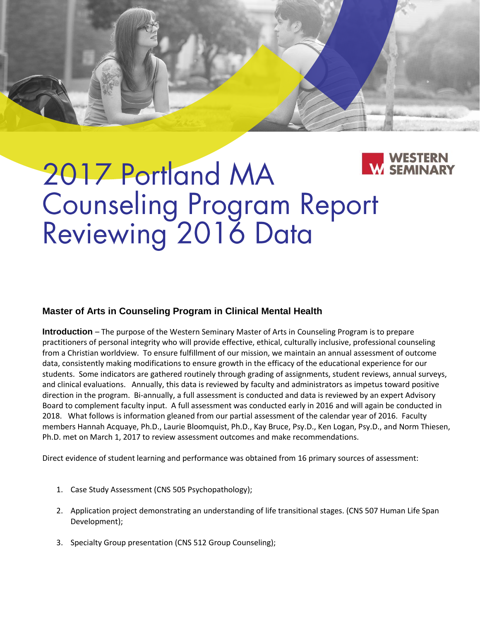# 2017 Portland MA **Counseling Program Report<br>Reviewing 2016 Data**

# **Master of Arts in Counseling Program in Clinical Mental Health**

**Introduction** – The purpose of the Western Seminary Master of Arts in Counseling Program is to prepare practitioners of personal integrity who will provide effective, ethical, culturally inclusive, professional counseling from a Christian worldview. To ensure fulfillment of our mission, we maintain an annual assessment of outcome data, consistently making modifications to ensure growth in the efficacy of the educational experience for our students. Some indicators are gathered routinely through grading of assignments, student reviews, annual surveys, and clinical evaluations. Annually, this data is reviewed by faculty and administrators as impetus toward positive direction in the program. Bi-annually, a full assessment is conducted and data is reviewed by an expert Advisory Board to complement faculty input. A full assessment was conducted early in 2016 and will again be conducted in 2018. What follows is information gleaned from our partial assessment of the calendar year of 2016. Faculty members Hannah Acquaye, Ph.D., Laurie Bloomquist, Ph.D., Kay Bruce, Psy.D., Ken Logan, Psy.D., and Norm Thiesen, Ph.D. met on March 1, 2017 to review assessment outcomes and make recommendations.

Direct evidence of student learning and performance was obtained from 16 primary sources of assessment:

- 1. Case Study Assessment (CNS 505 Psychopathology);
- 2. Application project demonstrating an understanding of life transitional stages. (CNS 507 Human Life Span Development);
- 3. Specialty Group presentation (CNS 512 Group Counseling);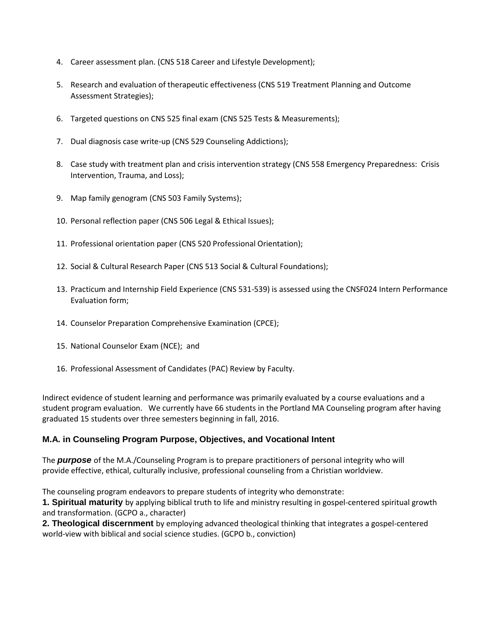- 4. Career assessment plan. (CNS 518 Career and Lifestyle Development);
- 5. Research and evaluation of therapeutic effectiveness (CNS 519 Treatment Planning and Outcome Assessment Strategies);
- 6. Targeted questions on CNS 525 final exam (CNS 525 Tests & Measurements);
- 7. Dual diagnosis case write-up (CNS 529 Counseling Addictions);
- 8. Case study with treatment plan and crisis intervention strategy (CNS 558 Emergency Preparedness: Crisis Intervention, Trauma, and Loss);
- 9. Map family genogram (CNS 503 Family Systems);
- 10. Personal reflection paper (CNS 506 Legal & Ethical Issues);
- 11. Professional orientation paper (CNS 520 Professional Orientation);
- 12. Social & Cultural Research Paper (CNS 513 Social & Cultural Foundations);
- 13. Practicum and Internship Field Experience (CNS 531-539) is assessed using the [CNSF024 Intern Performance](file:///D:/Documents/assignment-instructions/CNSF024-_Evaluation_of_Intern_Performance.pdf)  [Evaluation form;](file:///D:/Documents/assignment-instructions/CNSF024-_Evaluation_of_Intern_Performance.pdf)
- 14. Counselor Preparation Comprehensive Examination (CPCE);
- 15. National Counselor Exam (NCE); and
- 16. Professional Assessment of Candidates (PAC) Review by Faculty.

Indirect evidence of student learning and performance was primarily evaluated by a course evaluations and a student program evaluation. We currently have 66 students in the Portland MA Counseling program after having graduated 15 students over three semesters beginning in fall, 2016.

#### **M.A. in Counseling Program Purpose, Objectives, and Vocational Intent**

The *purpose* of the M.A./Counseling Program is to prepare practitioners of personal integrity who will provide effective, ethical, culturally inclusive, professional counseling from a Christian worldview.

The counseling program endeavors to prepare students of integrity who demonstrate:

**1. Spiritual maturity** by applying biblical truth to life and ministry resulting in gospel‐centered spiritual growth and transformation. (GCPO a., character)

**2. Theological discernment** by employing advanced theological thinking that integrates a gospel-centered world-view with biblical and social science studies. (GCPO b., conviction)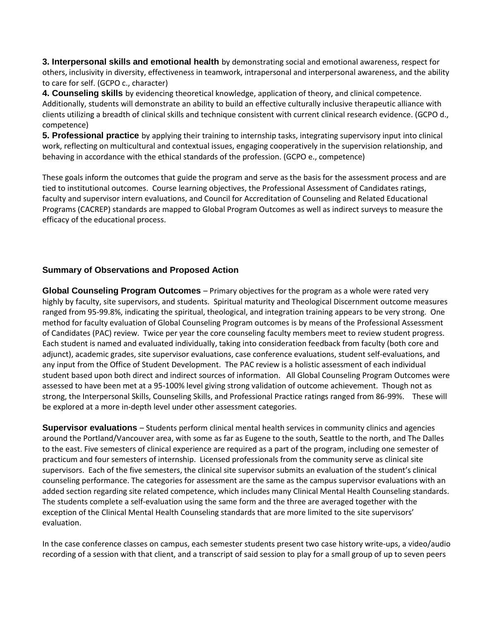**3. Interpersonal skills and emotional health** by demonstrating social and emotional awareness, respect for others, inclusivity in diversity, effectiveness in teamwork, intrapersonal and interpersonal awareness, and the ability to care for self. (GCPO c., character)

**4. Counseling skills** by evidencing theoretical knowledge, application of theory, and clinical competence. Additionally, students will demonstrate an ability to build an effective culturally inclusive therapeutic alliance with clients utilizing a breadth of clinical skills and technique consistent with current clinical research evidence. (GCPO d., competence)

**5. Professional practice** by applying their training to internship tasks, integrating supervisory input into clinical work, reflecting on multicultural and contextual issues, engaging cooperatively in the supervision relationship, and behaving in accordance with the ethical standards of the profession. (GCPO e., competence)

These goals inform the outcomes that guide the program and serve as the basis for the assessment process and are tied to institutional outcomes. Course learning objectives, the Professional Assessment of Candidates ratings, faculty and supervisor intern evaluations, and Council for Accreditation of Counseling and Related Educational Programs (CACREP) standards are mapped to Global Program Outcomes as well as indirect surveys to measure the efficacy of the educational process.

# **Summary of Observations and Proposed Action**

**Global Counseling Program Outcomes** – Primary objectives for the program as a whole were rated very highly by faculty, site supervisors, and students. Spiritual maturity and Theological Discernment outcome measures ranged from 95-99.8%, indicating the spiritual, theological, and integration training appears to be very strong. One method for faculty evaluation of Global Counseling Program outcomes is by means of the Professional Assessment of Candidates (PAC) review. Twice per year the core counseling faculty members meet to review student progress. Each student is named and evaluated individually, taking into consideration feedback from faculty (both core and adjunct), academic grades, site supervisor evaluations, case conference evaluations, student self‐evaluations, and any input from the Office of Student Development. The PAC review is a holistic assessment of each individual student based upon both direct and indirect sources of information. All Global Counseling Program Outcomes were assessed to have been met at a 95-100% level giving strong validation of outcome achievement. Though not as strong, the Interpersonal Skills, Counseling Skills, and Professional Practice ratings ranged from 86-99%. These will be explored at a more in-depth level under other assessment categories.

**Supervisor evaluations** – Students perform clinical mental health services in community clinics and agencies around the Portland/Vancouver area, with some as far as Eugene to the south, Seattle to the north, and The Dalles to the east. Five semesters of clinical experience are required as a part of the program, including one semester of practicum and four semesters of internship. Licensed professionals from the community serve as clinical site supervisors. Each of the five semesters, the clinical site supervisor submits an evaluation of the student's clinical counseling performance. The categories for assessment are the same as the campus supervisor evaluations with an added section regarding site related competence, which includes many Clinical Mental Health Counseling standards. The students complete a self-evaluation using the same form and the three are averaged together with the exception of the Clinical Mental Health Counseling standards that are more limited to the site supervisors' evaluation.

In the case conference classes on campus, each semester students present two case history write‐ups, a video/audio recording of a session with that client, and a transcript of said session to play for a small group of up to seven peers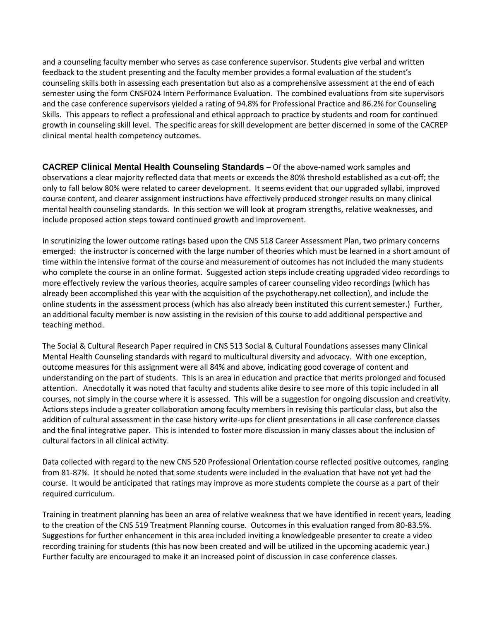and a counseling faculty member who serves as case conference supervisor. Students give verbal and written feedback to the student presenting and the faculty member provides a formal evaluation of the student's counseling skills both in assessing each presentation but also as a comprehensive assessment at the end of each semester using the form CNSF024 Intern Performance Evaluation. The combined evaluations from site supervisors and the case conference supervisors yielded a rating of 94.8% for Professional Practice and 86.2% for Counseling Skills. This appears to reflect a professional and ethical approach to practice by students and room for continued growth in counseling skill level. The specific areas for skill development are better discerned in some of the CACREP clinical mental health competency outcomes.

**CACREP Clinical Mental Health Counseling Standards** – Of the above-named work samples and observations a clear majority reflected data that meets or exceeds the 80% threshold established as a cut-off; the only to fall below 80% were related to career development. It seems evident that our upgraded syllabi, improved course content, and clearer assignment instructions have effectively produced stronger results on many clinical mental health counseling standards. In this section we will look at program strengths, relative weaknesses, and include proposed action steps toward continued growth and improvement.

In scrutinizing the lower outcome ratings based upon the CNS 518 Career Assessment Plan, two primary concerns emerged: the instructor is concerned with the large number of theories which must be learned in a short amount of time within the intensive format of the course and measurement of outcomes has not included the many students who complete the course in an online format. Suggested action steps include creating upgraded video recordings to more effectively review the various theories, acquire samples of career counseling video recordings (which has already been accomplished this year with the acquisition of the psychotherapy.net collection), and include the online students in the assessment process (which has also already been instituted this current semester.) Further, an additional faculty member is now assisting in the revision of this course to add additional perspective and teaching method.

The Social & Cultural Research Paper required in CNS 513 Social & Cultural Foundations assesses many Clinical Mental Health Counseling standards with regard to multicultural diversity and advocacy. With one exception, outcome measures for this assignment were all 84% and above, indicating good coverage of content and understanding on the part of students. This is an area in education and practice that merits prolonged and focused attention. Anecdotally it was noted that faculty and students alike desire to see more of this topic included in all courses, not simply in the course where it is assessed. This will be a suggestion for ongoing discussion and creativity. Actions steps include a greater collaboration among faculty members in revising this particular class, but also the addition of cultural assessment in the case history write-ups for client presentations in all case conference classes and the final integrative paper. This is intended to foster more discussion in many classes about the inclusion of cultural factors in all clinical activity.

Data collected with regard to the new CNS 520 Professional Orientation course reflected positive outcomes, ranging from 81-87%. It should be noted that some students were included in the evaluation that have not yet had the course. It would be anticipated that ratings may improve as more students complete the course as a part of their required curriculum.

Training in treatment planning has been an area of relative weakness that we have identified in recent years, leading to the creation of the CNS 519 Treatment Planning course. Outcomes in this evaluation ranged from 80-83.5%. Suggestions for further enhancement in this area included inviting a knowledgeable presenter to create a video recording training for students (this has now been created and will be utilized in the upcoming academic year.) Further faculty are encouraged to make it an increased point of discussion in case conference classes.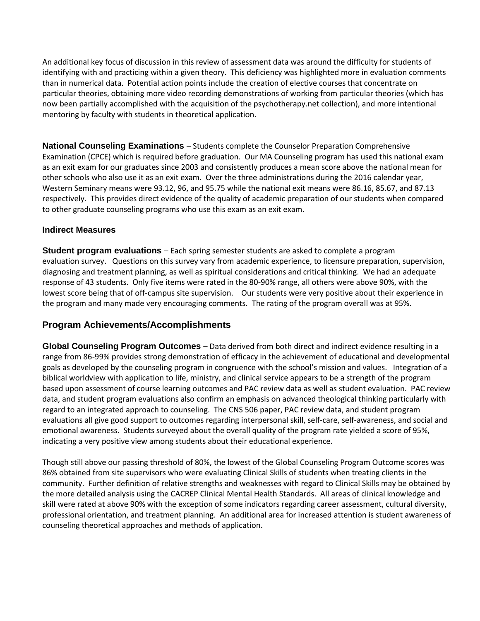An additional key focus of discussion in this review of assessment data was around the difficulty for students of identifying with and practicing within a given theory. This deficiency was highlighted more in evaluation comments than in numerical data. Potential action points include the creation of elective courses that concentrate on particular theories, obtaining more video recording demonstrations of working from particular theories (which has now been partially accomplished with the acquisition of the psychotherapy.net collection), and more intentional mentoring by faculty with students in theoretical application.

**National Counseling Examinations** – Students complete the Counselor Preparation Comprehensive Examination (CPCE) which is required before graduation. Our MA Counseling program has used this national exam as an exit exam for our graduates since 2003 and consistently produces a mean score above the national mean for other schools who also use it as an exit exam. Over the three administrations during the 2016 calendar year, Western Seminary means were 93.12, 96, and 95.75 while the national exit means were 86.16, 85.67, and 87.13 respectively. This provides direct evidence of the quality of academic preparation of our students when compared to other graduate counseling programs who use this exam as an exit exam.

#### **Indirect Measures**

**Student program evaluations** – Each spring semester students are asked to complete a program evaluation survey. Questions on this survey vary from academic experience, to licensure preparation, supervision, diagnosing and treatment planning, as well as spiritual considerations and critical thinking. We had an adequate response of 43 students. Only five items were rated in the 80-90% range, all others were above 90%, with the lowest score being that of off-campus site supervision. Our students were very positive about their experience in the program and many made very encouraging comments. The rating of the program overall was at 95%.

# **Program Achievements/Accomplishments**

**Global Counseling Program Outcomes** – Data derived from both direct and indirect evidence resulting in a range from 86-99% provides strong demonstration of efficacy in the achievement of educational and developmental goals as developed by the counseling program in congruence with the school's mission and values. Integration of a biblical worldview with application to life, ministry, and clinical service appears to be a strength of the program based upon assessment of course learning outcomes and PAC review data as well as student evaluation. PAC review data, and student program evaluations also confirm an emphasis on advanced theological thinking particularly with regard to an integrated approach to counseling. The CNS 506 paper, PAC review data, and student program evaluations all give good support to outcomes regarding interpersonal skill, self‐care, self‐awareness, and social and emotional awareness. Students surveyed about the overall quality of the program rate yielded a score of 95%, indicating a very positive view among students about their educational experience.

Though still above our passing threshold of 80%, the lowest of the Global Counseling Program Outcome scores was 86% obtained from site supervisors who were evaluating Clinical Skills of students when treating clients in the community. Further definition of relative strengths and weaknesses with regard to Clinical Skills may be obtained by the more detailed analysis using the CACREP Clinical Mental Health Standards. All areas of clinical knowledge and skill were rated at above 90% with the exception of some indicators regarding career assessment, cultural diversity, professional orientation, and treatment planning. An additional area for increased attention is student awareness of counseling theoretical approaches and methods of application.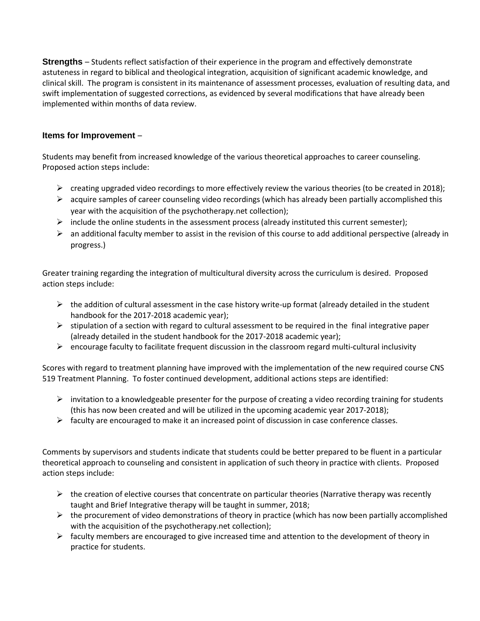**Strengths** – Students reflect satisfaction of their experience in the program and effectively demonstrate astuteness in regard to biblical and theological integration, acquisition of significant academic knowledge, and clinical skill. The program is consistent in its maintenance of assessment processes, evaluation of resulting data, and swift implementation of suggested corrections, as evidenced by several modifications that have already been implemented within months of data review.

### **Items for Improvement** –

Students may benefit from increased knowledge of the various theoretical approaches to career counseling. Proposed action steps include:

- $\triangleright$  creating upgraded video recordings to more effectively review the various theories (to be created in 2018);
- $\triangleright$  acquire samples of career counseling video recordings (which has already been partially accomplished this year with the acquisition of the psychotherapy.net collection);
- $\triangleright$  include the online students in the assessment process (already instituted this current semester);
- $\triangleright$  an additional faculty member to assist in the revision of this course to add additional perspective (already in progress.)

Greater training regarding the integration of multicultural diversity across the curriculum is desired. Proposed action steps include:

- $\triangleright$  the addition of cultural assessment in the case history write-up format (already detailed in the student handbook for the 2017-2018 academic year);
- $\triangleright$  stipulation of a section with regard to cultural assessment to be required in the final integrative paper (already detailed in the student handbook for the 2017-2018 academic year);
- $\triangleright$  encourage faculty to facilitate frequent discussion in the classroom regard multi-cultural inclusivity

Scores with regard to treatment planning have improved with the implementation of the new required course CNS 519 Treatment Planning. To foster continued development, additional actions steps are identified:

- $\triangleright$  invitation to a knowledgeable presenter for the purpose of creating a video recording training for students (this has now been created and will be utilized in the upcoming academic year 2017-2018);
- $\triangleright$  faculty are encouraged to make it an increased point of discussion in case conference classes.

Comments by supervisors and students indicate that students could be better prepared to be fluent in a particular theoretical approach to counseling and consistent in application of such theory in practice with clients. Proposed action steps include:

- $\triangleright$  the creation of elective courses that concentrate on particular theories (Narrative therapy was recently taught and Brief Integrative therapy will be taught in summer, 2018;
- $\triangleright$  the procurement of video demonstrations of theory in practice (which has now been partially accomplished with the acquisition of the psychotherapy.net collection);
- $\triangleright$  faculty members are encouraged to give increased time and attention to the development of theory in practice for students.